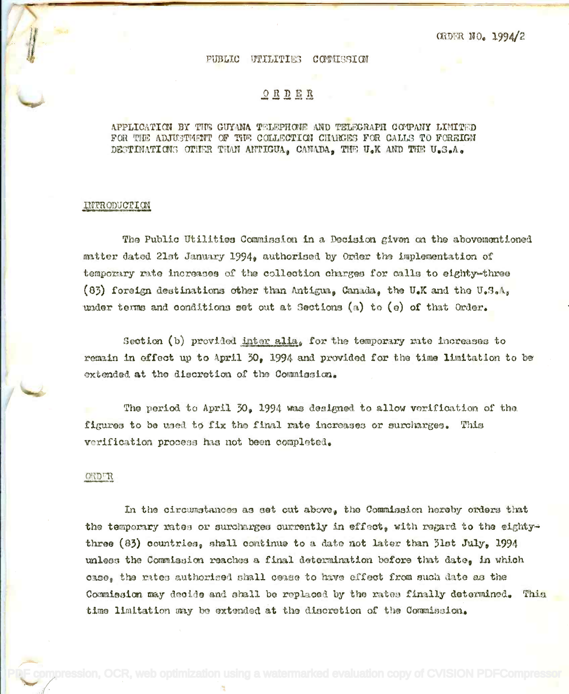**CRDER NO. 1994/2** 

#### PUBLIC UTILITIES CONTISSION

# $O$  R D E R

# APPLICATION BY THE GUYANA TELEPHONE AND TELEGRAPH COMPANY LIMITED FOR THE ADJUSTMENT OF THE COLLECTION CHARGES FOR CALLS TO FOREIGN DESTINATIONS OTHER THAN ANTIGUA. CANADA. THE U.K AND THE U.S.A.

### INTRODUCTION

The Public Utilities Commission in a Decision given on the abovementioned matter dated 21st January 1994, authorised by Order the implementation of temporary rate increases of the collection charges for calls to eighty-three (83) foreign destinations other than Antigua, Canada, the U.K and the U.S.A. under terms and conditions set out at Sections (a) to (e) of that Order.

Section (b) provided inter alia, for the temporary rate increases to remain in effect up to April 30, 1994 and provided for the time limitation to be extended at the discretion of the Commission.

The period to April 30, 1994 was designed to allow verification of the figures to be used to fix the final rate increases or surcharges. This verification process has not been completed.

## ORDER

In the circumstances as set cut above, the Commission hereby orders that the temporary rates or surcharges currently in effect, with regard to the eightythree (83) countries, shall continue to a date not later than 31st July, 1994 unless the Commission reaches a final determination before that date, in which osse, the rates authorised shall cease to have effect from such date as the Commission may decide and shall be replaced by the rates finally determined. This time limitation may be extended at the discretion of the Commission.